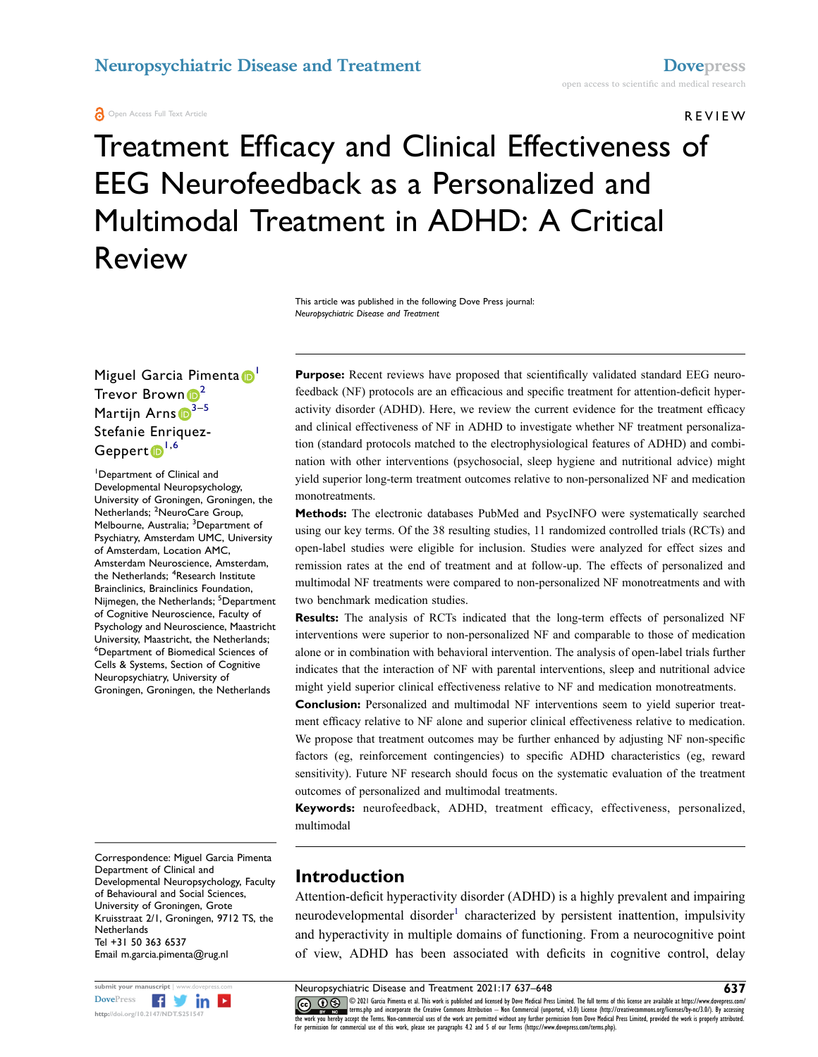**A** Open Access Full Text Article

REVIEW

# Treatment Efficacy and Clinical Effectiveness of EEG Neurofeedback as a Personalized and Multimodal Treatment in ADHD: A Critical Review

This article was published in the following Dove Press journal: *Neuropsychiatric Disease and Treatment*

Miguel Garcia Pimenta D Trevor Brown  $\mathbf{D}^2$  $\mathbf{D}^2$ Martijn Arns  $\mathbb{D}^{3-5}$  $\mathbb{D}^{3-5}$  $\mathbb{D}^{3-5}$ Stefanie Enriquez-Geppert<sup>[1](#page-0-0),[6](#page-0-4)</sup>

<span id="page-0-4"></span><span id="page-0-3"></span><span id="page-0-2"></span><span id="page-0-1"></span><span id="page-0-0"></span>1 Department of Clinical and Developmental Neuropsychology, University of Groningen, Groningen, the Netherlands; <sup>2</sup>NeuroCare Group, Melbourne, Australia; <sup>3</sup>Department of Psychiatry, Amsterdam UMC, University of Amsterdam, Location AMC, Amsterdam Neuroscience, Amsterdam, the Netherlands; <sup>4</sup>Research Institute Brainclinics, Brainclinics Foundation, Nijmegen, the Netherlands; <sup>5</sup>Department of Cognitive Neuroscience, Faculty of Psychology and Neuroscience, Maastricht University, Maastricht, the Netherlands; 6 Department of Biomedical Sciences of Cells & Systems, Section of Cognitive Neuropsychiatry, University of Groningen, Groningen, the Netherlands

Purpose: Recent reviews have proposed that scientifically validated standard EEG neurofeedback (NF) protocols are an efficacious and specific treatment for attention-deficit hyperactivity disorder (ADHD). Here, we review the current evidence for the treatment efficacy and clinical effectiveness of NF in ADHD to investigate whether NF treatment personalization (standard protocols matched to the electrophysiological features of ADHD) and combination with other interventions (psychosocial, sleep hygiene and nutritional advice) might yield superior long-term treatment outcomes relative to non-personalized NF and medication monotreatments.

**Methods:** The electronic databases PubMed and PsycINFO were systematically searched using our key terms. Of the 38 resulting studies, 11 randomized controlled trials (RCTs) and open-label studies were eligible for inclusion. Studies were analyzed for effect sizes and remission rates at the end of treatment and at follow-up. The effects of personalized and multimodal NF treatments were compared to non-personalized NF monotreatments and with two benchmark medication studies.

**Results:** The analysis of RCTs indicated that the long-term effects of personalized NF interventions were superior to non-personalized NF and comparable to those of medication alone or in combination with behavioral intervention. The analysis of open-label trials further indicates that the interaction of NF with parental interventions, sleep and nutritional advice might yield superior clinical effectiveness relative to NF and medication monotreatments.

**Conclusion:** Personalized and multimodal NF interventions seem to yield superior treatment efficacy relative to NF alone and superior clinical effectiveness relative to medication. We propose that treatment outcomes may be further enhanced by adjusting NF non-specific factors (eg, reinforcement contingencies) to specific ADHD characteristics (eg, reward sensitivity). Future NF research should focus on the systematic evaluation of the treatment outcomes of personalized and multimodal treatments.

**Keywords:** neurofeedback, ADHD, treatment efficacy, effectiveness, personalized, multimodal

Correspondence: Miguel Garcia Pimenta Department of Clinical and Developmental Neuropsychology, Faculty of Behavioural and Social Sciences, University of Groningen, Grote Kruisstraat 2/1, Groningen, 9712 TS, the **Netherlands** Tel +31 50 363 6537 Email [m.garcia.pimenta@rug.nl](mailto:m.garcia.pimenta@rug.nl)



## **Introduction**

<span id="page-0-5"></span>Attention-deficit hyperactivity disorder (ADHD) is a highly prevalent and impairing neurodevelopmental disorder<sup>1</sup> characterized by persistent inattention, impulsivity and hyperactivity in multiple domains of functioning. From a neurocognitive point of view, ADHD has been associated with deficits in cognitive control, delay

**Submit your manuscript | www.dovepress.com Neuropsychiatric Disease and Treatment 2021:17 637–648 637**<br>DovePress **f f in in in in in in in in in in in in in in in in in CO D**  $\otimes$  **P** 2021 Garcia Pimenta et al. This work is published and licensed by Dove Medical Press Limited. The full terms of this license are available at https://www.dovepress.com/ www.giventerms.php and incorporate the Creative Commons Attribution — Non Commercial (unported, v3.0) License (http://creativecommons.org/licenses/by-nc/3.0/). By accessing<br>the work you hereby accept the Terms. Non-commerc For permission for commercial use of this work, please see paragraphs 4.2 and 5 of our Terms (https://www.dovepress.com/terms.php).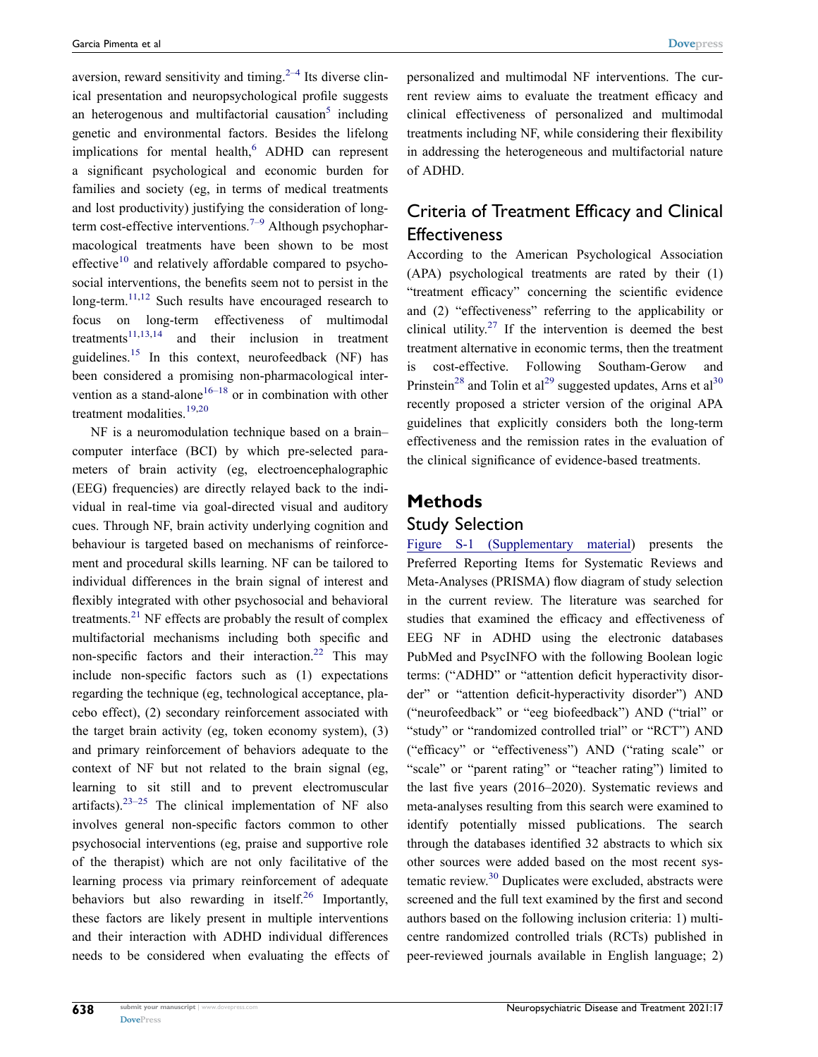<span id="page-1-3"></span><span id="page-1-2"></span><span id="page-1-1"></span><span id="page-1-0"></span>aversion, reward sensitivity and timing.<sup> $2-4$ </sup> Its diverse clinical presentation and neuropsychological profile suggests an heterogenous and multifactorial causation<sup>5</sup> including genetic and environmental factors. Besides the lifelong implications for mental health, $6$  ADHD can represent a significant psychological and economic burden for families and society (eg, in terms of medical treatments and lost productivity) justifying the consideration of long-term cost-effective interventions.<sup>[7–9](#page-9-4)</sup> Although psychopharmacological treatments have been shown to be most effective<sup>[10](#page-9-5)</sup> and relatively affordable compared to psychosocial interventions, the benefits seem not to persist in the  $long-term$ <sup>[11](#page-9-6),12</sup> Such results have encouraged research to focus on long-term effectiveness of multimodal treatments $11,13,14$  $11,13,14$  $11,13,14$  and their inclusion in treatment guidelines.[15](#page-9-10) In this context, neurofeedback (NF) has been considered a promising non-pharmacological intervention as a stand-alone<sup>16–18</sup> or in combination with other treatment modalities[.19,](#page-9-12)[20](#page-9-13)

<span id="page-1-13"></span><span id="page-1-12"></span><span id="page-1-11"></span><span id="page-1-10"></span><span id="page-1-9"></span><span id="page-1-8"></span><span id="page-1-7"></span><span id="page-1-6"></span><span id="page-1-5"></span><span id="page-1-4"></span>NF is a neuromodulation technique based on a brain– computer interface (BCI) by which pre-selected parameters of brain activity (eg, electroencephalographic (EEG) frequencies) are directly relayed back to the individual in real-time via goal-directed visual and auditory cues. Through NF, brain activity underlying cognition and behaviour is targeted based on mechanisms of reinforcement and procedural skills learning. NF can be tailored to individual differences in the brain signal of interest and flexibly integrated with other psychosocial and behavioral treatments.<sup>21</sup> NF effects are probably the result of complex multifactorial mechanisms including both specific and non-specific factors and their interaction.<sup>[22](#page-9-15)</sup> This may include non-specific factors such as (1) expectations regarding the technique (eg, technological acceptance, placebo effect), (2) secondary reinforcement associated with the target brain activity (eg, token economy system), (3) and primary reinforcement of behaviors adequate to the context of NF but not related to the brain signal (eg, learning to sit still and to prevent electromuscular artifacts). $23-25$  The clinical implementation of NF also involves general non-specific factors common to other psychosocial interventions (eg, praise and supportive role of the therapist) which are not only facilitative of the learning process via primary reinforcement of adequate behaviors but also rewarding in itself.<sup>26</sup> Importantly, these factors are likely present in multiple interventions and their interaction with ADHD individual differences needs to be considered when evaluating the effects of personalized and multimodal NF interventions. The current review aims to evaluate the treatment efficacy and clinical effectiveness of personalized and multimodal treatments including NF, while considering their flexibility in addressing the heterogeneous and multifactorial nature of ADHD.

# Criteria of Treatment Efficacy and Clinical **Effectiveness**

<span id="page-1-15"></span><span id="page-1-14"></span>According to the American Psychological Association (APA) psychological treatments are rated by their (1) "treatment efficacy" concerning the scientific evidence and (2) "effectiveness" referring to the applicability or clinical utility.<sup>[27](#page-9-18)</sup> If the intervention is deemed the best treatment alternative in economic terms, then the treatment cost-effective. Following Southam-Gerow and Prinstein<sup>28</sup> and Tolin et al<sup>[29](#page-9-20)</sup> suggested updates, Arns et al<sup>[30](#page-9-21)</sup> recently proposed a stricter version of the original APA guidelines that explicitly considers both the long-term effectiveness and the remission rates in the evaluation of the clinical significance of evidence-based treatments.

#### **Methods**

#### Study Selection

<span id="page-1-16"></span>[Figure S-1 \(Supplementary material](http://www.dovepress.com/get_supplementary_file.php?f=251547.pdf)) presents the Preferred Reporting Items for Systematic Reviews and Meta-Analyses (PRISMA) flow diagram of study selection in the current review. The literature was searched for studies that examined the efficacy and effectiveness of EEG NF in ADHD using the electronic databases PubMed and PsycINFO with the following Boolean logic terms: ("ADHD" or "attention deficit hyperactivity disorder" or "attention deficit-hyperactivity disorder") AND ("neurofeedback" or "eeg biofeedback") AND ("trial" or "study" or "randomized controlled trial" or "RCT") AND ("efficacy" or "effectiveness") AND ("rating scale" or "scale" or "parent rating" or "teacher rating") limited to the last five years (2016–2020). Systematic reviews and meta-analyses resulting from this search were examined to identify potentially missed publications. The search through the databases identified 32 abstracts to which six other sources were added based on the most recent sys-tematic review.<sup>[30](#page-9-21)</sup> Duplicates were excluded, abstracts were screened and the full text examined by the first and second authors based on the following inclusion criteria: 1) multicentre randomized controlled trials (RCTs) published in peer-reviewed journals available in English language; 2)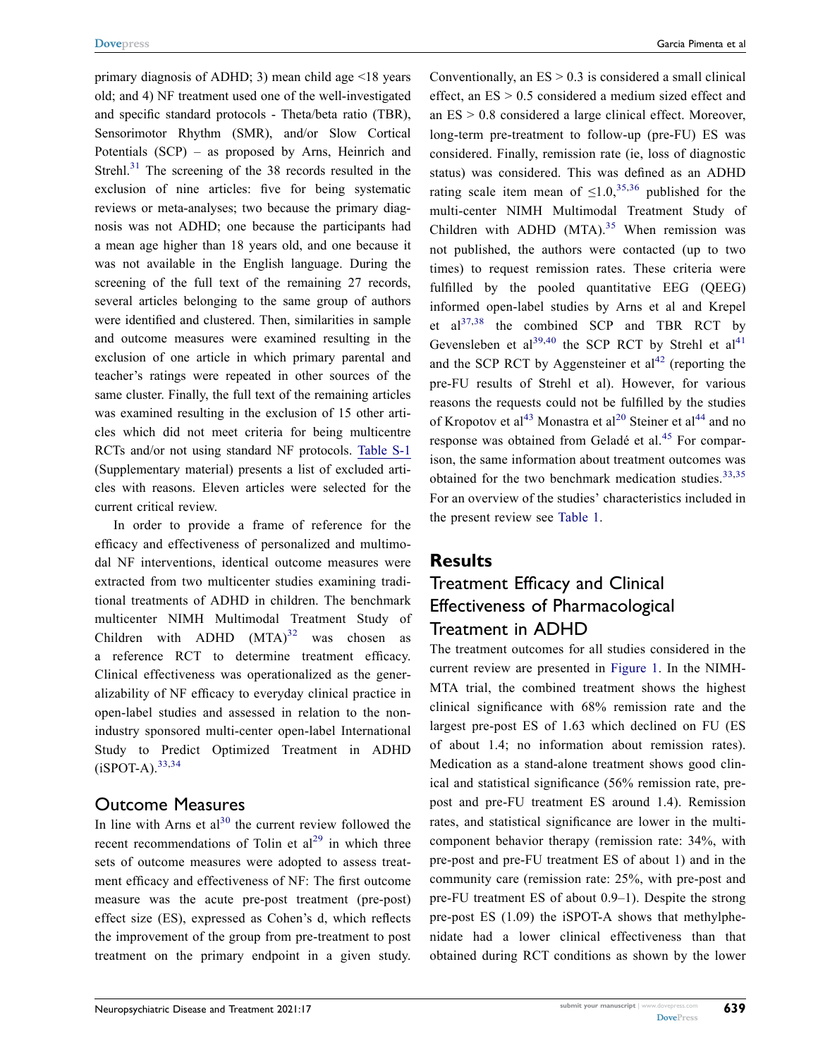<span id="page-2-0"></span>primary diagnosis of ADHD; 3) mean child age <18 years old; and 4) NF treatment used one of the well-investigated and specific standard protocols - Theta/beta ratio (TBR), Sensorimotor Rhythm (SMR), and/or Slow Cortical Potentials (SCP) – as proposed by Arns, Heinrich and Strehl.<sup>31</sup> The screening of the 38 records resulted in the exclusion of nine articles: five for being systematic reviews or meta-analyses; two because the primary diagnosis was not ADHD; one because the participants had a mean age higher than 18 years old, and one because it was not available in the English language. During the screening of the full text of the remaining 27 records, several articles belonging to the same group of authors were identified and clustered. Then, similarities in sample and outcome measures were examined resulting in the exclusion of one article in which primary parental and teacher's ratings were repeated in other sources of the same cluster. Finally, the full text of the remaining articles was examined resulting in the exclusion of 15 other articles which did not meet criteria for being multicentre RCTs and/or not using standard NF protocols. [Table S-1](http://www.dovepress.com/get_supplementary_file.php?f=251547.docx)  (Supplementary material) presents a list of excluded articles with reasons. Eleven articles were selected for the current critical review.

<span id="page-2-1"></span>In order to provide a frame of reference for the efficacy and effectiveness of personalized and multimodal NF interventions, identical outcome measures were extracted from two multicenter studies examining traditional treatments of ADHD in children. The benchmark multicenter NIMH Multimodal Treatment Study of Children with  $ADHD (MTA)^{32}$  was chosen as a reference RCT to determine treatment efficacy. Clinical effectiveness was operationalized as the generalizability of NF efficacy to everyday clinical practice in open-label studies and assessed in relation to the nonindustry sponsored multi-center open-label International Study to Predict Optimized Treatment in ADHD  $(iSPOT-A)$ .  $33,34$  $33,34$ 

#### <span id="page-2-3"></span>Outcome Measures

In line with Arns et  $al^{30}$  the current review followed the recent recommendations of Tolin et  $al^{29}$  in which three sets of outcome measures were adopted to assess treatment efficacy and effectiveness of NF: The first outcome measure was the acute pre-post treatment (pre-post) effect size (ES), expressed as Cohen's d, which reflects the improvement of the group from pre-treatment to post treatment on the primary endpoint in a given study.

<span id="page-2-5"></span><span id="page-2-4"></span>Conventionally, an  $ES > 0.3$  is considered a small clinical effect, an ES > 0.5 considered a medium sized effect and an ES > 0.8 considered a large clinical effect. Moreover, long-term pre-treatment to follow-up (pre-FU) ES was considered. Finally, remission rate (ie, loss of diagnostic status) was considered. This was defined as an ADHD rating scale item mean of  $\leq 1.0$ ,<sup>[35](#page-10-3),36</sup> published for the multi-center NIMH Multimodal Treatment Study of Children with ADHD  $(MTA).$ <sup>[35](#page-10-3)</sup> When remission was not published, the authors were contacted (up to two times) to request remission rates. These criteria were fulfilled by the pooled quantitative EEG (QEEG) informed open-label studies by Arns et al and Krepel et  $al^{37,38}$  $al^{37,38}$  $al^{37,38}$  the combined SCP and TBR RCT by Gevensleben et al<sup>[39,](#page-10-7)40</sup> the SCP RCT by Strehl et al<sup>41</sup> and the SCP RCT by Aggensteiner et  $al<sup>42</sup>$  $al<sup>42</sup>$  $al<sup>42</sup>$  (reporting the pre-FU results of Strehl et al). However, for various reasons the requests could not be fulfilled by the studies of Kropotov et al<sup>43</sup> Monastra et al<sup>20</sup> Steiner et al<sup>[44](#page-10-12)</sup> and no response was obtained from Geladé et al.<sup>[45](#page-10-13)</sup> For comparison, the same information about treatment outcomes was obtained for the two benchmark medication studies.<sup>[33,](#page-10-1)35</sup> For an overview of the studies' characteristics included in the present review see [Table 1.](#page-3-0)

#### <span id="page-2-9"></span><span id="page-2-8"></span><span id="page-2-7"></span><span id="page-2-6"></span><span id="page-2-2"></span>**Results**

# Treatment Efficacy and Clinical Effectiveness of Pharmacological Treatment in ADHD

The treatment outcomes for all studies considered in the current review are presented in [Figure 1.](#page-4-0) In the NIMH-MTA trial, the combined treatment shows the highest clinical significance with 68% remission rate and the largest pre-post ES of 1.63 which declined on FU (ES of about 1.4; no information about remission rates). Medication as a stand-alone treatment shows good clinical and statistical significance (56% remission rate, prepost and pre-FU treatment ES around 1.4). Remission rates, and statistical significance are lower in the multicomponent behavior therapy (remission rate: 34%, with pre-post and pre-FU treatment ES of about 1) and in the community care (remission rate: 25%, with pre-post and pre-FU treatment ES of about 0.9–1). Despite the strong pre-post ES (1.09) the iSPOT-A shows that methylphenidate had a lower clinical effectiveness than that obtained during RCT conditions as shown by the lower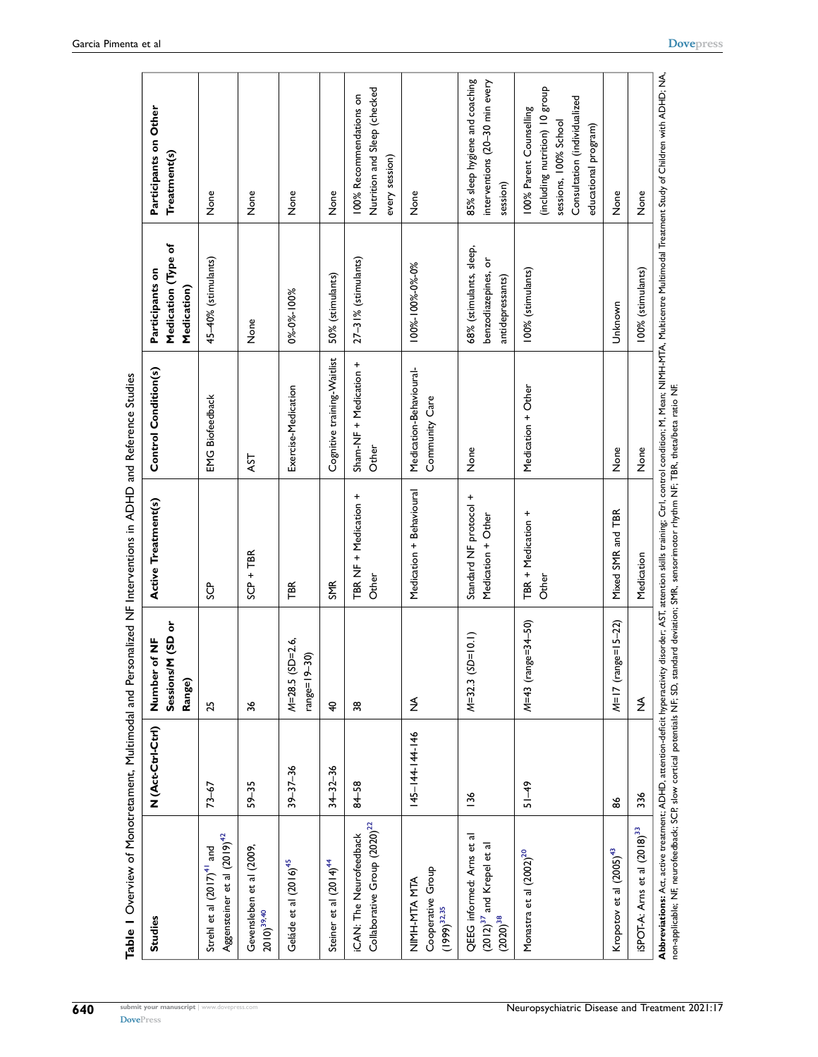<span id="page-3-0"></span>

| Table   Overview of Monotretament, Multimodal and Personalized NF Interventions in ADHD and Reference Studies                                                                                                                      |                   |                                                         |                                              |                                           |                                                                    |                                                                                                                                                         |
|------------------------------------------------------------------------------------------------------------------------------------------------------------------------------------------------------------------------------------|-------------------|---------------------------------------------------------|----------------------------------------------|-------------------------------------------|--------------------------------------------------------------------|---------------------------------------------------------------------------------------------------------------------------------------------------------|
| <b>Studies</b>                                                                                                                                                                                                                     | N (Act-Ctrl-Ctrl) | M (SD or<br>of NF<br>Number<br>Sessions/<br>Range)      | Active Treatment(s)                          | Control Condition(s)                      | Medication (Type of<br>Participants on<br>Medication)              | Participants on Other<br>Treatment(s)                                                                                                                   |
| Aggensteiner et al (2019) <sup>42</sup><br>Strehl et al (2017) <sup>41</sup> and                                                                                                                                                   | $73 - 67$         | 25                                                      | ပ္ပ်                                         | <b>EMG Biofeedback</b>                    | 45-40% (stimulants)                                                | None                                                                                                                                                    |
| Gevensleben et al (2009,<br>$2010)^{39,40}$                                                                                                                                                                                        | $59 - 35$         | 36                                                      | $SCP + TBR$                                  | AST                                       | None                                                               | None                                                                                                                                                    |
| Geláde et al (2016) <sup>45</sup>                                                                                                                                                                                                  | $39 - 37 - 36$    | $M = 28.5$ (SD=2.6,<br>$\overline{30}$<br>$-6$   = $-9$ | TBR                                          | Exercise-Medication                       | 0%-0%-100%                                                         | None                                                                                                                                                    |
| Steiner et al (2014) <sup>44</sup>                                                                                                                                                                                                 | $34 - 32 - 36$    | $\overline{\mathbf{z}}$                                 | <b>SMR</b>                                   | Cognitive training-Waitlist               | 50% (stimulants)                                                   | None                                                                                                                                                    |
| Collaborative Group (2020) <sup>22</sup><br><b>ICAN:</b> The Neurofeedback                                                                                                                                                         | 84-58             | 38                                                      | TBR NF + Medication +<br>Other               | Sham-NF + Medication +<br>Other           | $27-31%$ (stimulants)                                              | Nutrition and Sleep (checked<br>100% Recommendations on<br>every session)                                                                               |
| Cooperative Group<br>NIMH-MTA MTA<br>$(1999)^{32,35}$                                                                                                                                                                              | 145-144-144-146   | ≸                                                       | Medication + Behavioural                     | Medication-Behavioural-<br>Community Care | 100%-100%-0%-0%                                                    | None                                                                                                                                                    |
| QEEG informed: Arns et al<br>$(2012)^{37}$ and Krepel et al<br>$(2020)^{38}$                                                                                                                                                       | 136               | $M=32.3$ (SD=10.1)                                      | Standard NF protocol +<br>Medication + Other | None                                      | 68% (stimulants, sleep,<br>benzodiazepines, or<br>antidepressants) | 85% sleep hygiene and coaching<br>interventions (20-30 min every<br>session)                                                                            |
| Monastra et al (2002) <sup>20</sup>                                                                                                                                                                                                | $51 - 49$         | $M=43$ (range=34-50)                                    | TBR + Medication +<br>Other                  | Medication + Other                        | 100% (stimulants)                                                  | (including nutrition) 10 group<br>Consultation (individualized<br>100% Parent Counselling<br>sessions, 100% School<br>educational program)              |
| Kropotov et al (2005) <sup>43</sup>                                                                                                                                                                                                | జ                 | $ge=15-22$<br>$M=17$ (ran                               | Mixed SMR and TBR                            | None                                      | Unknown                                                            | None                                                                                                                                                    |
| ISPOT-A: Arns et al (2018) <sup>33</sup>                                                                                                                                                                                           | 336               | $\lessgtr$                                              | Medication                                   | None                                      | 100% (stimulants)                                                  | None                                                                                                                                                    |
| non-applicable; NF, neurofeedback; SCP, slow cortical potentials NF; SD, standard deviation; SMR, sensorimotor rhythm NF; TBR, theta/beta ratio NF.<br>Abbreviations: Act, active treatment; ADHD, attention-deficit hyperactivity |                   |                                                         |                                              |                                           |                                                                    | disorder: AST, attention skills training; Ctrl, control condition; M, Mean; NIMH-MTA, Multicentre Multimodal Treatment Study of Children with ADHD; NA, |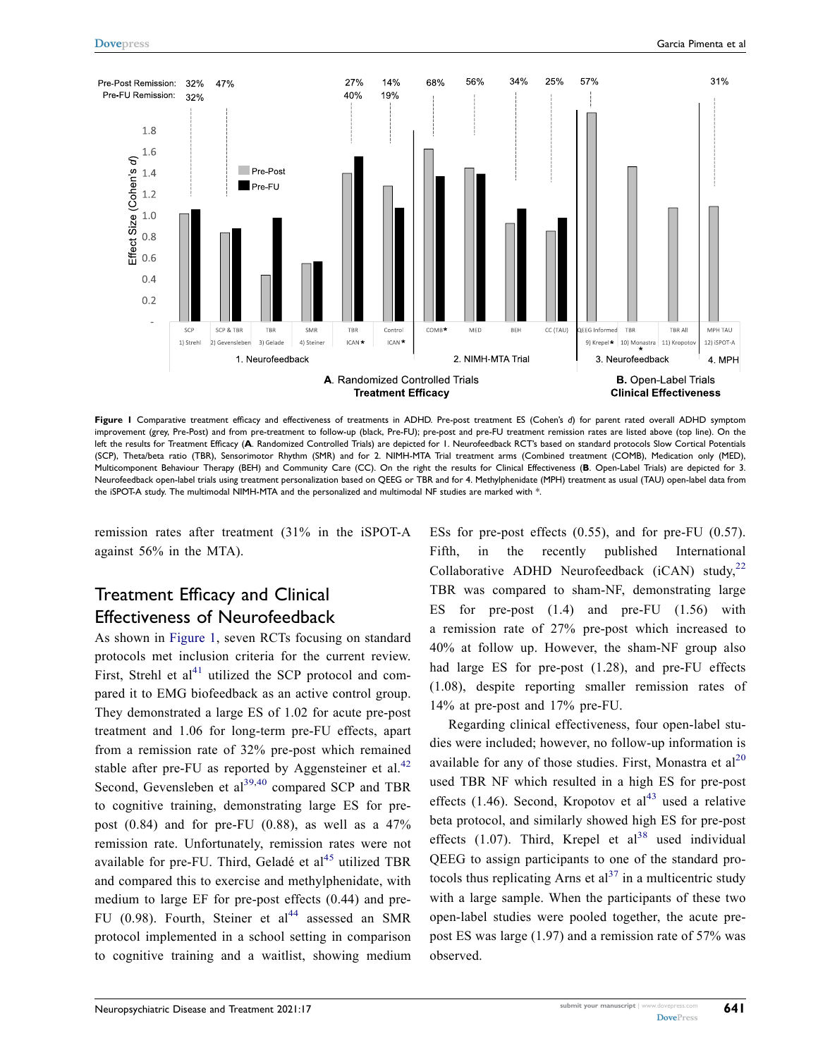<span id="page-4-0"></span>

**Figure 1** Comparative treatment efficacy and effectiveness of treatments in ADHD. Pre-post treatment ES (Cohen's *d*) for parent rated overall ADHD symptom improvement (grey, Pre-Post) and from pre-treatment to follow-up (black, Pre-FU); pre-post and pre-FU treatment remission rates are listed above (top line). On the left the results for Treatment Efficacy (**A**. Randomized Controlled Trials) are depicted for 1. Neurofeedback RCT's based on standard protocols Slow Cortical Potentials (SCP), Theta/beta ratio (TBR), Sensorimotor Rhythm (SMR) and for 2. NIMH-MTA Trial treatment arms (Combined treatment (COMB), Medication only (MED), Multicomponent Behaviour Therapy (BEH) and Community Care (CC). On the right the results for Clinical Effectiveness (**B**. Open-Label Trials) are depicted for 3. Neurofeedback open-label trials using treatment personalization based on QEEG or TBR and for 4. Methylphenidate (MPH) treatment as usual (TAU) open-label data from the iSPOT-A study. The multimodal NIMH-MTA and the personalized and multimodal NF studies are marked with \*.

remission rates after treatment (31% in the iSPOT-A against 56% in the MTA).

# Treatment Efficacy and Clinical Effectiveness of Neurofeedback

As shown in [Figure 1](#page-4-0), seven RCTs focusing on standard protocols met inclusion criteria for the current review. First, Strehl et  $al<sup>41</sup>$  utilized the SCP protocol and compared it to EMG biofeedback as an active control group. They demonstrated a large ES of 1.02 for acute pre-post treatment and 1.06 for long-term pre-FU effects, apart from a remission rate of 32% pre-post which remained stable after pre-FU as reported by Aggensteiner et al.<sup>42</sup> Second, Gevensleben et  $al^{39,40}$  $al^{39,40}$  $al^{39,40}$  compared SCP and TBR to cognitive training, demonstrating large ES for prepost  $(0.84)$  and for pre-FU  $(0.88)$ , as well as a 47% remission rate. Unfortunately, remission rates were not available for pre-FU. Third, Geladé et al $^{45}$  $^{45}$  $^{45}$  utilized TBR and compared this to exercise and methylphenidate, with medium to large EF for pre-post effects (0.44) and pre-FU (0.98). Fourth, Steiner et  $al<sup>44</sup>$  assessed an SMR protocol implemented in a school setting in comparison to cognitive training and a waitlist, showing medium

ESs for pre-post effects (0.55), and for pre-FU (0.57). Fifth, in the recently published International Collaborative ADHD Neurofeedback (iCAN) study,<sup>[22](#page-9-15)</sup> TBR was compared to sham-NF, demonstrating large ES for pre-post (1.4) and pre-FU (1.56) with a remission rate of 27% pre-post which increased to 40% at follow up. However, the sham-NF group also had large ES for pre-post (1.28), and pre-FU effects (1.08), despite reporting smaller remission rates of 14% at pre-post and 17% pre-FU.

Regarding clinical effectiveness, four open-label studies were included; however, no follow-up information is available for any of those studies. First, Monastra et  $al^{20}$ used TBR NF which resulted in a high ES for pre-post effects (1.46). Second, Kropotov et  $al<sup>43</sup>$  used a relative beta protocol, and similarly showed high ES for pre-post effects  $(1.07)$ . Third, Krepel et al<sup>38</sup> used individual QEEG to assign participants to one of the standard protocols thus replicating Arns et  $al<sup>37</sup>$  $al<sup>37</sup>$  $al<sup>37</sup>$  in a multicentric study with a large sample. When the participants of these two open-label studies were pooled together, the acute prepost ES was large (1.97) and a remission rate of 57% was observed.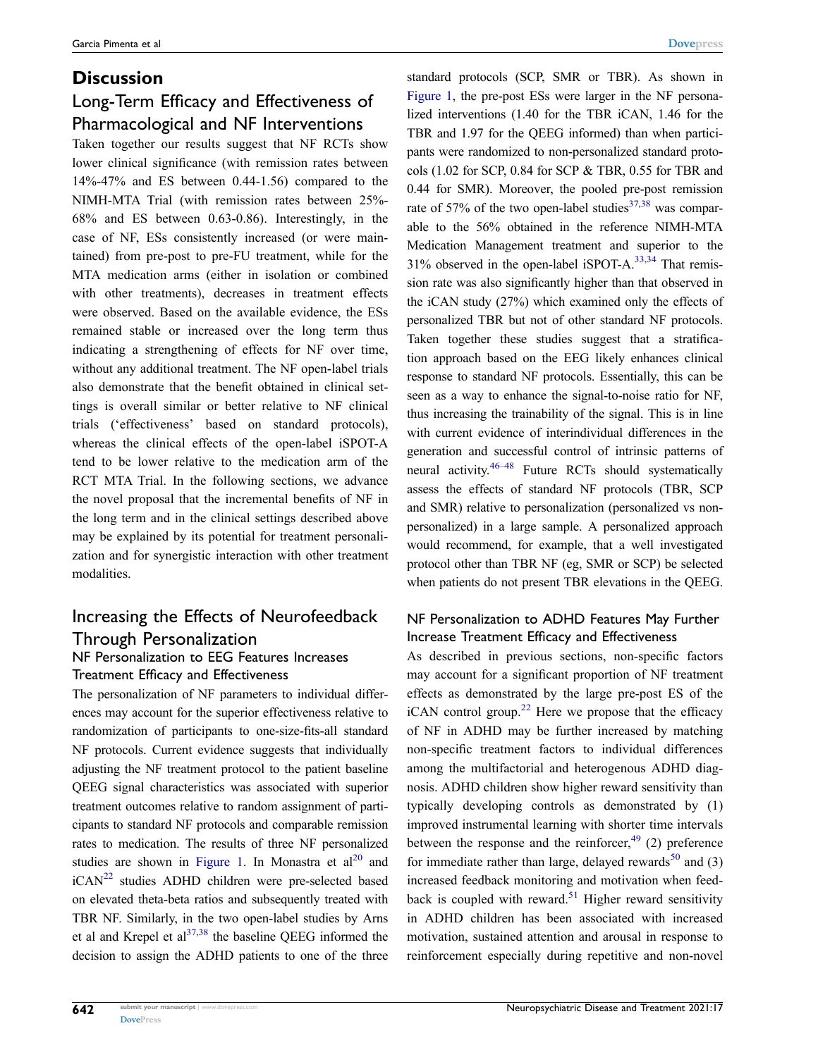# **Discussion** Long-Term Efficacy and Effectiveness of Pharmacological and NF Interventions

Taken together our results suggest that NF RCTs show lower clinical significance (with remission rates between 14%-47% and ES between 0.44-1.56) compared to the NIMH-MTA Trial (with remission rates between 25%- 68% and ES between 0.63-0.86). Interestingly, in the case of NF, ESs consistently increased (or were maintained) from pre-post to pre-FU treatment, while for the MTA medication arms (either in isolation or combined with other treatments), decreases in treatment effects were observed. Based on the available evidence, the ESs remained stable or increased over the long term thus indicating a strengthening of effects for NF over time, without any additional treatment. The NF open-label trials also demonstrate that the benefit obtained in clinical settings is overall similar or better relative to NF clinical trials ('effectiveness' based on standard protocols), whereas the clinical effects of the open-label iSPOT-A tend to be lower relative to the medication arm of the RCT MTA Trial. In the following sections, we advance the novel proposal that the incremental benefits of NF in the long term and in the clinical settings described above may be explained by its potential for treatment personalization and for synergistic interaction with other treatment modalities.

# Increasing the Effects of Neurofeedback Through Personalization

#### NF Personalization to EEG Features Increases Treatment Efficacy and Effectiveness

The personalization of NF parameters to individual differences may account for the superior effectiveness relative to randomization of participants to one-size-fits-all standard NF protocols. Current evidence suggests that individually adjusting the NF treatment protocol to the patient baseline QEEG signal characteristics was associated with superior treatment outcomes relative to random assignment of participants to standard NF protocols and comparable remission rates to medication. The results of three NF personalized studies are shown in [Figure 1](#page-4-0). In Monastra et  $al^{20}$  and iCAN<sup>22</sup> studies ADHD children were pre-selected based on elevated theta-beta ratios and subsequently treated with TBR NF. Similarly, in the two open-label studies by Arns et al and Krepel et  $al^{37,38}$  $al^{37,38}$  $al^{37,38}$  the baseline OEEG informed the decision to assign the ADHD patients to one of the three standard protocols (SCP, SMR or TBR). As shown in [Figure 1,](#page-4-0) the pre-post ESs were larger in the NF personalized interventions (1.40 for the TBR iCAN, 1.46 for the TBR and 1.97 for the QEEG informed) than when participants were randomized to non-personalized standard protocols (1.02 for SCP, 0.84 for SCP & TBR, 0.55 for TBR and 0.44 for SMR). Moreover, the pooled pre-post remission rate of 57% of the two open-label studies<sup>[37](#page-10-5),[38](#page-10-6)</sup> was comparable to the 56% obtained in the reference NIMH-MTA Medication Management treatment and superior to the 31% observed in the open-label iSPOT-A[.33](#page-10-1)[,34](#page-10-2) That remission rate was also significantly higher than that observed in the iCAN study (27%) which examined only the effects of personalized TBR but not of other standard NF protocols. Taken together these studies suggest that a stratification approach based on the EEG likely enhances clinical response to standard NF protocols. Essentially, this can be seen as a way to enhance the signal-to-noise ratio for NF, thus increasing the trainability of the signal. This is in line with current evidence of interindividual differences in the generation and successful control of intrinsic patterns of neural activity.<sup>46–48</sup> Future RCTs should systematically assess the effects of standard NF protocols (TBR, SCP and SMR) relative to personalization (personalized vs nonpersonalized) in a large sample. A personalized approach would recommend, for example, that a well investigated protocol other than TBR NF (eg, SMR or SCP) be selected when patients do not present TBR elevations in the QEEG.

#### <span id="page-5-1"></span>NF Personalization to ADHD Features May Further Increase Treatment Efficacy and Effectiveness

<span id="page-5-4"></span><span id="page-5-3"></span><span id="page-5-2"></span><span id="page-5-0"></span>As described in previous sections, non-specific factors may account for a significant proportion of NF treatment effects as demonstrated by the large pre-post ES of the iCAN control group.<sup>22</sup> Here we propose that the efficacy of NF in ADHD may be further increased by matching non-specific treatment factors to individual differences among the multifactorial and heterogenous ADHD diagnosis. ADHD children show higher reward sensitivity than typically developing controls as demonstrated by (1) improved instrumental learning with shorter time intervals between the response and the reinforcer,  $49$  (2) preference for immediate rather than large, delayed rewards<sup>[50](#page-10-16)</sup> and  $(3)$ increased feedback monitoring and motivation when feed-back is coupled with reward.<sup>[51](#page-10-17)</sup> Higher reward sensitivity in ADHD children has been associated with increased motivation, sustained attention and arousal in response to reinforcement especially during repetitive and non-novel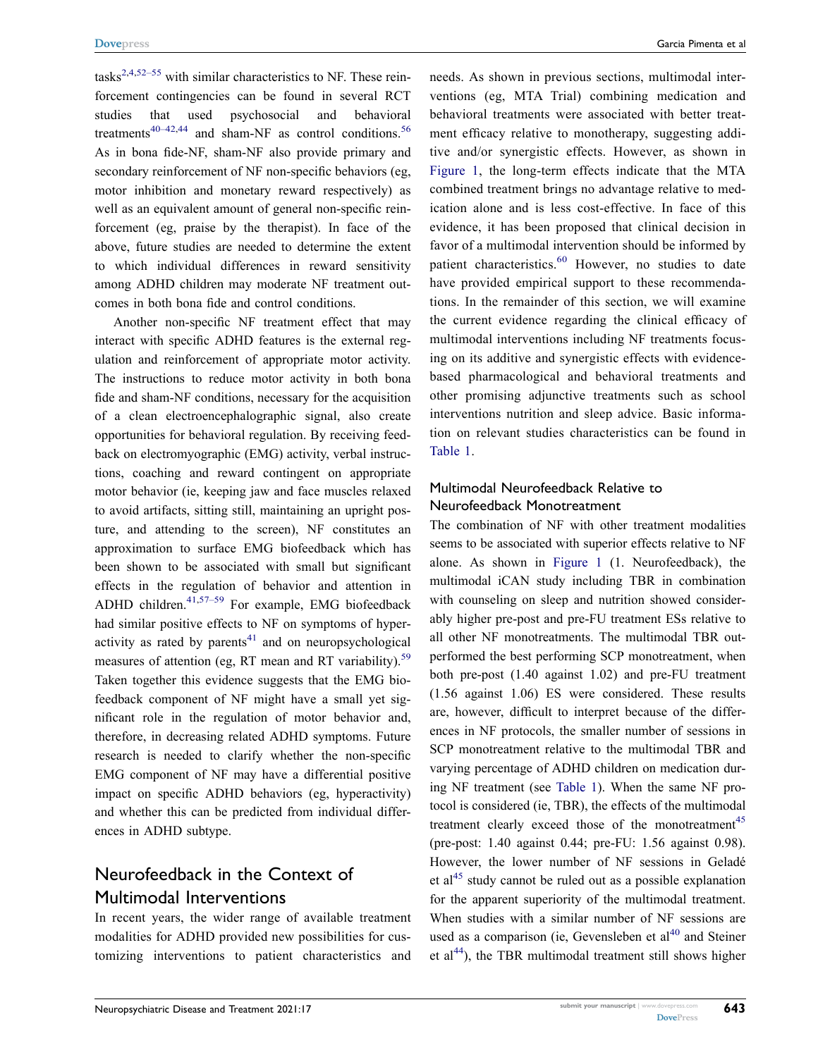<span id="page-6-0"></span> $tasks<sup>2,4,52-55</sup>$  $tasks<sup>2,4,52-55</sup>$  $tasks<sup>2,4,52-55</sup>$  $tasks<sup>2,4,52-55</sup>$  with similar characteristics to NF. These reinforcement contingencies can be found in several RCT studies that used psychosocial and behavioral treatments<sup>[40–42](#page-10-8),44</sup> and sham-NF as control conditions.<sup>56</sup> As in bona fide-NF, sham-NF also provide primary and secondary reinforcement of NF non-specific behaviors (eg, motor inhibition and monetary reward respectively) as well as an equivalent amount of general non-specific reinforcement (eg, praise by the therapist). In face of the above, future studies are needed to determine the extent to which individual differences in reward sensitivity among ADHD children may moderate NF treatment outcomes in both bona fide and control conditions.

<span id="page-6-1"></span>Another non-specific NF treatment effect that may interact with specific ADHD features is the external regulation and reinforcement of appropriate motor activity. The instructions to reduce motor activity in both bona fide and sham-NF conditions, necessary for the acquisition of a clean electroencephalographic signal, also create opportunities for behavioral regulation. By receiving feedback on electromyographic (EMG) activity, verbal instructions, coaching and reward contingent on appropriate motor behavior (ie, keeping jaw and face muscles relaxed to avoid artifacts, sitting still, maintaining an upright posture, and attending to the screen), NF constitutes an approximation to surface EMG biofeedback which has been shown to be associated with small but significant effects in the regulation of behavior and attention in ADHD children. $41,57-59$  $41,57-59$  For example, EMG biofeedback had similar positive effects to NF on symptoms of hyperactivity as rated by parents $41$  and on neuropsychological measures of attention (eg, RT mean and RT variability).<sup>59</sup> Taken together this evidence suggests that the EMG biofeedback component of NF might have a small yet significant role in the regulation of motor behavior and, therefore, in decreasing related ADHD symptoms. Future research is needed to clarify whether the non-specific EMG component of NF may have a differential positive impact on specific ADHD behaviors (eg, hyperactivity) and whether this can be predicted from individual differences in ADHD subtype.

# <span id="page-6-2"></span>Neurofeedback in the Context of Multimodal Interventions

In recent years, the wider range of available treatment modalities for ADHD provided new possibilities for customizing interventions to patient characteristics and <span id="page-6-3"></span>needs. As shown in previous sections, multimodal interventions (eg, MTA Trial) combining medication and behavioral treatments were associated with better treatment efficacy relative to monotherapy, suggesting additive and/or synergistic effects. However, as shown in [Figure 1,](#page-4-0) the long-term effects indicate that the MTA combined treatment brings no advantage relative to medication alone and is less cost-effective. In face of this evidence, it has been proposed that clinical decision in favor of a multimodal intervention should be informed by patient characteristics.<sup>60</sup> However, no studies to date have provided empirical support to these recommendations. In the remainder of this section, we will examine the current evidence regarding the clinical efficacy of multimodal interventions including NF treatments focusing on its additive and synergistic effects with evidencebased pharmacological and behavioral treatments and other promising adjunctive treatments such as school interventions nutrition and sleep advice. Basic information on relevant studies characteristics can be found in

#### Multimodal Neurofeedback Relative to Neurofeedback Monotreatment

[Table 1.](#page-3-0)

The combination of NF with other treatment modalities seems to be associated with superior effects relative to NF alone. As shown in [Figure 1](#page-4-0) (1. Neurofeedback), the multimodal iCAN study including TBR in combination with counseling on sleep and nutrition showed considerably higher pre-post and pre-FU treatment ESs relative to all other NF monotreatments. The multimodal TBR outperformed the best performing SCP monotreatment, when both pre-post (1.40 against 1.02) and pre-FU treatment (1.56 against 1.06) ES were considered. These results are, however, difficult to interpret because of the differences in NF protocols, the smaller number of sessions in SCP monotreatment relative to the multimodal TBR and varying percentage of ADHD children on medication during NF treatment (see [Table 1](#page-3-0)). When the same NF protocol is considered (ie, TBR), the effects of the multimodal treatment clearly exceed those of the monotreatment<sup>[45](#page-10-13)</sup> (pre-post: 1.40 against 0.44; pre-FU: 1.56 against 0.98). However, the lower number of NF sessions in Geladé et al<sup>45</sup> study cannot be ruled out as a possible explanation for the apparent superiority of the multimodal treatment. When studies with a similar number of NF sessions are used as a comparison (ie, Gevensleben et  $al<sup>40</sup>$  $al<sup>40</sup>$  $al<sup>40</sup>$  and Steiner et al<sup>[44](#page-10-12)</sup>), the TBR multimodal treatment still shows higher

**643**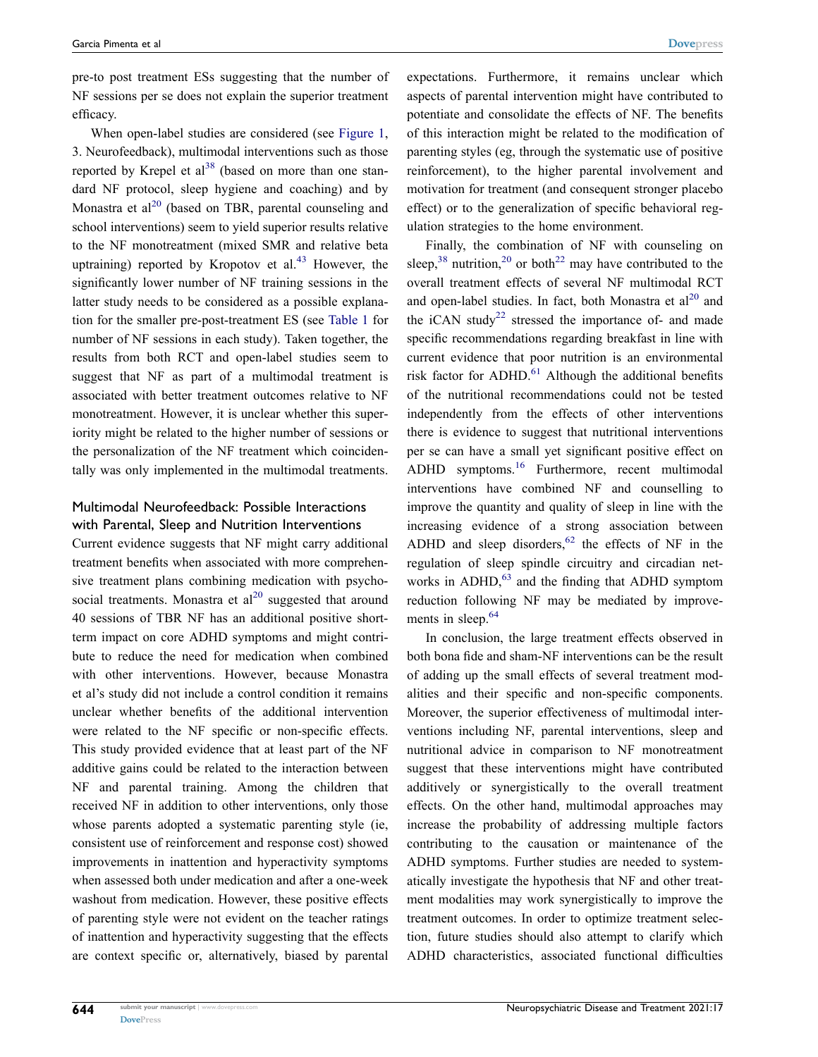pre-to post treatment ESs suggesting that the number of NF sessions per se does not explain the superior treatment efficacy.

When open-label studies are considered (see [Figure 1](#page-4-0), 3. Neurofeedback), multimodal interventions such as those reported by Krepel et  $al^{38}$  $al^{38}$  $al^{38}$  (based on more than one standard NF protocol, sleep hygiene and coaching) and by Monastra et al<sup>20</sup> (based on TBR, parental counseling and school interventions) seem to yield superior results relative to the NF monotreatment (mixed SMR and relative beta uptraining) reported by Kropotov et  $al^{43}$  However, the significantly lower number of NF training sessions in the latter study needs to be considered as a possible explanation for the smaller pre-post-treatment ES (see [Table 1](#page-3-0) for number of NF sessions in each study). Taken together, the results from both RCT and open-label studies seem to suggest that NF as part of a multimodal treatment is associated with better treatment outcomes relative to NF monotreatment. However, it is unclear whether this superiority might be related to the higher number of sessions or the personalization of the NF treatment which coincidentally was only implemented in the multimodal treatments.

#### Multimodal Neurofeedback: Possible Interactions with Parental, Sleep and Nutrition Interventions

Current evidence suggests that NF might carry additional treatment benefits when associated with more comprehensive treatment plans combining medication with psychosocial treatments. Monastra et  $al^{20}$  suggested that around 40 sessions of TBR NF has an additional positive shortterm impact on core ADHD symptoms and might contribute to reduce the need for medication when combined with other interventions. However, because Monastra et al's study did not include a control condition it remains unclear whether benefits of the additional intervention were related to the NF specific or non-specific effects. This study provided evidence that at least part of the NF additive gains could be related to the interaction between NF and parental training. Among the children that received NF in addition to other interventions, only those whose parents adopted a systematic parenting style (ie, consistent use of reinforcement and response cost) showed improvements in inattention and hyperactivity symptoms when assessed both under medication and after a one-week washout from medication. However, these positive effects of parenting style were not evident on the teacher ratings of inattention and hyperactivity suggesting that the effects are context specific or, alternatively, biased by parental expectations. Furthermore, it remains unclear which aspects of parental intervention might have contributed to potentiate and consolidate the effects of NF. The benefits of this interaction might be related to the modification of parenting styles (eg, through the systematic use of positive reinforcement), to the higher parental involvement and motivation for treatment (and consequent stronger placebo effect) or to the generalization of specific behavioral regulation strategies to the home environment.

<span id="page-7-0"></span>Finally, the combination of NF with counseling on sleep,<sup>[38](#page-10-6)</sup> nutrition,<sup>[20](#page-9-13)</sup> or both<sup>[22](#page-9-15)</sup> may have contributed to the overall treatment effects of several NF multimodal RCT and open-label studies. In fact, both Monastra et  $al^{20}$  $al^{20}$  $al^{20}$  and the iCAN study<sup>22</sup> stressed the importance of- and made specific recommendations regarding breakfast in line with current evidence that poor nutrition is an environmental risk factor for ADHD. $^{61}$  $^{61}$  $^{61}$  Although the additional benefits of the nutritional recommendations could not be tested independently from the effects of other interventions there is evidence to suggest that nutritional interventions per se can have a small yet significant positive effect on ADHD symptoms.<sup>[16](#page-9-11)</sup> Furthermore, recent multimodal interventions have combined NF and counselling to improve the quantity and quality of sleep in line with the increasing evidence of a strong association between ADHD and sleep disorders, $62$  the effects of NF in the regulation of sleep spindle circuitry and circadian networks in  $ADHD<sub>1</sub><sup>63</sup>$  $ADHD<sub>1</sub><sup>63</sup>$  $ADHD<sub>1</sub><sup>63</sup>$  and the finding that ADHD symptom reduction following NF may be mediated by improvements in sleep.<sup>64</sup>

<span id="page-7-3"></span><span id="page-7-2"></span><span id="page-7-1"></span>In conclusion, the large treatment effects observed in both bona fide and sham-NF interventions can be the result of adding up the small effects of several treatment modalities and their specific and non-specific components. Moreover, the superior effectiveness of multimodal interventions including NF, parental interventions, sleep and nutritional advice in comparison to NF monotreatment suggest that these interventions might have contributed additively or synergistically to the overall treatment effects. On the other hand, multimodal approaches may increase the probability of addressing multiple factors contributing to the causation or maintenance of the ADHD symptoms. Further studies are needed to systematically investigate the hypothesis that NF and other treatment modalities may work synergistically to improve the treatment outcomes. In order to optimize treatment selection, future studies should also attempt to clarify which ADHD characteristics, associated functional difficulties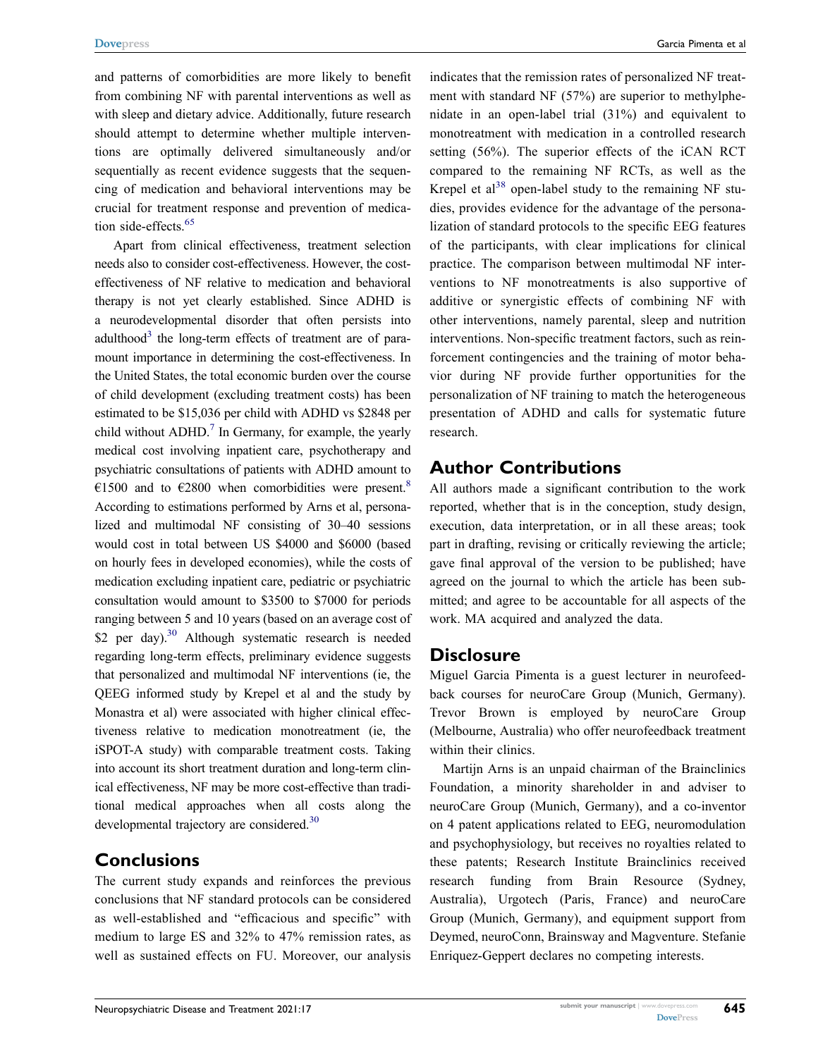and patterns of comorbidities are more likely to benefit from combining NF with parental interventions as well as with sleep and dietary advice. Additionally, future research should attempt to determine whether multiple interventions are optimally delivered simultaneously and/or sequentially as recent evidence suggests that the sequencing of medication and behavioral interventions may be crucial for treatment response and prevention of medica-tion side-effects.<sup>[65](#page-11-1)</sup>

<span id="page-8-2"></span><span id="page-8-1"></span><span id="page-8-0"></span>Apart from clinical effectiveness, treatment selection needs also to consider cost-effectiveness. However, the costeffectiveness of NF relative to medication and behavioral therapy is not yet clearly established. Since ADHD is a neurodevelopmental disorder that often persists into adulthood<sup>3</sup> the long-term effects of treatment are of paramount importance in determining the cost-effectiveness. In the United States, the total economic burden over the course of child development (excluding treatment costs) has been estimated to be \$15,036 per child with ADHD vs \$2848 per child without  $ADHD<sup>7</sup>$  In Germany, for example, the yearly medical cost involving inpatient care, psychotherapy and psychiatric consultations of patients with ADHD amount to €1500 and to €2800 when comorbidities were present.<sup>8</sup> According to estimations performed by Arns et al, personalized and multimodal NF consisting of 30–40 sessions would cost in total between US \$4000 and \$6000 (based on hourly fees in developed economies), while the costs of medication excluding inpatient care, pediatric or psychiatric consultation would amount to \$3500 to \$7000 for periods ranging between 5 and 10 years (based on an average cost of \$2 per day).<sup>30</sup> Although systematic research is needed regarding long-term effects, preliminary evidence suggests that personalized and multimodal NF interventions (ie, the QEEG informed study by Krepel et al and the study by Monastra et al) were associated with higher clinical effectiveness relative to medication monotreatment (ie, the iSPOT-A study) with comparable treatment costs. Taking into account its short treatment duration and long-term clinical effectiveness, NF may be more cost-effective than traditional medical approaches when all costs along the developmental trajectory are considered.<sup>[30](#page-9-21)</sup>

#### **Conclusions**

The current study expands and reinforces the previous conclusions that NF standard protocols can be considered as well-established and "efficacious and specific" with medium to large ES and 32% to 47% remission rates, as well as sustained effects on FU. Moreover, our analysis indicates that the remission rates of personalized NF treatment with standard NF (57%) are superior to methylphenidate in an open-label trial (31%) and equivalent to monotreatment with medication in a controlled research setting (56%). The superior effects of the iCAN RCT compared to the remaining NF RCTs, as well as the Krepel et al<sup>38</sup> open-label study to the remaining NF studies, provides evidence for the advantage of the personalization of standard protocols to the specific EEG features of the participants, with clear implications for clinical practice. The comparison between multimodal NF interventions to NF monotreatments is also supportive of additive or synergistic effects of combining NF with other interventions, namely parental, sleep and nutrition interventions. Non-specific treatment factors, such as reinforcement contingencies and the training of motor behavior during NF provide further opportunities for the personalization of NF training to match the heterogeneous presentation of ADHD and calls for systematic future research.

#### **Author Contributions**

All authors made a significant contribution to the work reported, whether that is in the conception, study design, execution, data interpretation, or in all these areas; took part in drafting, revising or critically reviewing the article; gave final approval of the version to be published; have agreed on the journal to which the article has been submitted; and agree to be accountable for all aspects of the work. MA acquired and analyzed the data.

#### **Disclosure**

Miguel Garcia Pimenta is a guest lecturer in neurofeedback courses for neuroCare Group (Munich, Germany). Trevor Brown is employed by neuroCare Group (Melbourne, Australia) who offer neurofeedback treatment within their clinics.

Martijn Arns is an unpaid chairman of the Brainclinics Foundation, a minority shareholder in and adviser to neuroCare Group (Munich, Germany), and a co-inventor on 4 patent applications related to EEG, neuromodulation and psychophysiology, but receives no royalties related to these patents; Research Institute Brainclinics received research funding from Brain Resource (Sydney, Australia), Urgotech (Paris, France) and neuroCare Group (Munich, Germany), and equipment support from Deymed, neuroConn, Brainsway and Magventure. Stefanie Enriquez-Geppert declares no competing interests.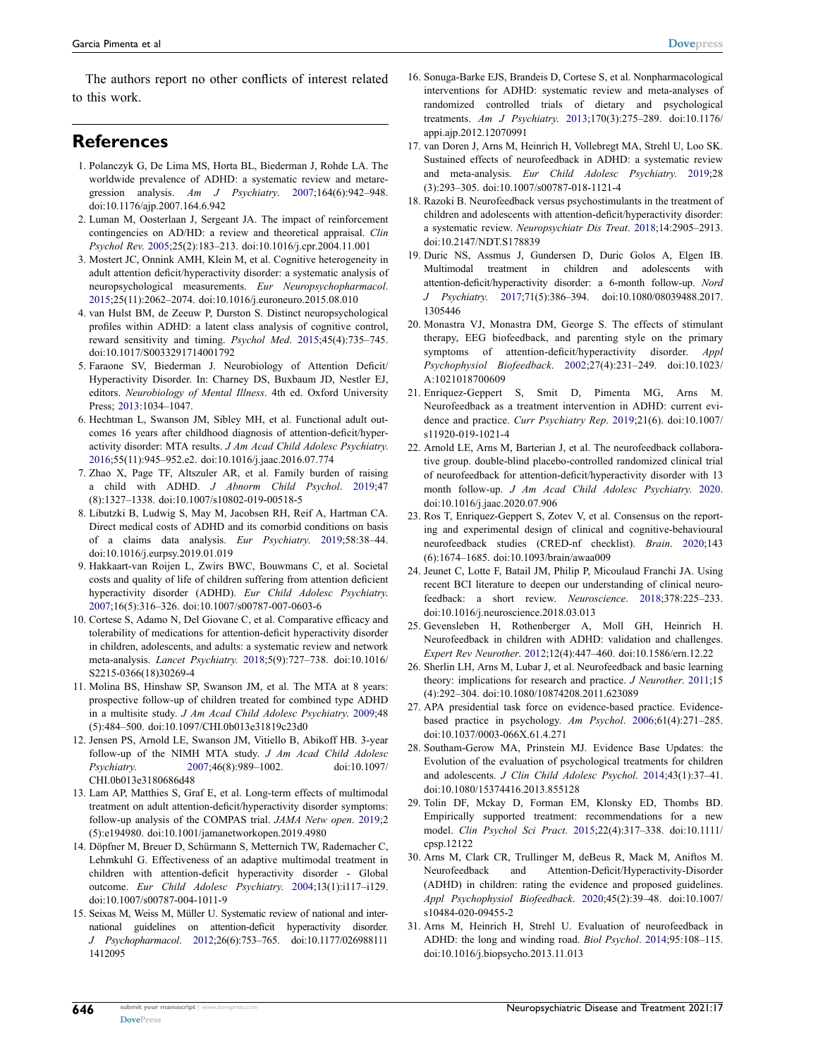The authors report no other conflicts of interest related to this work.

## **References**

- <span id="page-9-0"></span>1. Polanczyk G, De Lima MS, Horta BL, Biederman J, Rohde LA. The worldwide prevalence of ADHD: a systematic review and metaregression analysis. *Am J Psychiatry*. [2007;](#page-0-5)164(6):942–948. doi:[10.1176/ajp.2007.164.6.942](https://doi.org/10.1176/ajp.2007.164.6.942)
- <span id="page-9-1"></span>2. Luman M, Oosterlaan J, Sergeant JA. The impact of reinforcement contingencies on AD/HD: a review and theoretical appraisal. *Clin Psychol Rev*. [2005;](#page-1-0)25(2):183–213. doi:[10.1016/j.cpr.2004.11.001](https://doi.org/10.1016/j.cpr.2004.11.001)
- <span id="page-9-24"></span>3. Mostert JC, Onnink AMH, Klein M, et al. Cognitive heterogeneity in adult attention deficit/hyperactivity disorder: a systematic analysis of neuropsychological measurements. *Eur Neuropsychopharmacol*. [2015;](#page-8-0)25(11):2062–2074. doi:[10.1016/j.euroneuro.2015.08.010](https://doi.org/10.1016/j.euroneuro.2015.08.010)
- <span id="page-9-23"></span>4. van Hulst BM, de Zeeuw P, Durston S. Distinct neuropsychological profiles within ADHD: a latent class analysis of cognitive control, reward sensitivity and timing. *Psychol Med*. [2015;](#page-5-0)45(4):735–745. doi:[10.1017/S0033291714001792](https://doi.org/10.1017/S0033291714001792)
- <span id="page-9-2"></span>5. Faraone SV, Biederman J. Neurobiology of Attention Deficit/ Hyperactivity Disorder. In: Charney DS, Buxbaum JD, Nestler EJ, editors. *Neurobiology of Mental Illness*. 4th ed. Oxford University Press; [2013](#page-1-1):1034–1047.
- <span id="page-9-3"></span>6. Hechtman L, Swanson JM, Sibley MH, et al. Functional adult outcomes 16 years after childhood diagnosis of attention-deficit/hyperactivity disorder: MTA results. *J Am Acad Child Adolesc Psychiatry*. [2016;](#page-1-2)55(11):945–952.e2. doi:[10.1016/j.jaac.2016.07.774](https://doi.org/10.1016/j.jaac.2016.07.774)
- <span id="page-9-4"></span>7. Zhao X, Page TF, Altszuler AR, et al. Family burden of raising a child with ADHD. *J Abnorm Child Psychol*. [2019](#page-1-3);47 (8):1327–1338. doi:[10.1007/s10802-019-00518-5](https://doi.org/10.1007/s10802-019-00518-5)
- <span id="page-9-25"></span>8. Libutzki B, Ludwig S, May M, Jacobsen RH, Reif A, Hartman CA. Direct medical costs of ADHD and its comorbid conditions on basis of a claims data analysis. *Eur Psychiatry*. [2019](#page-8-1);58:38–44. doi:[10.1016/j.eurpsy.2019.01.019](https://doi.org/10.1016/j.eurpsy.2019.01.019)
- 9. Hakkaart-van Roijen L, Zwirs BWC, Bouwmans C, et al. Societal costs and quality of life of children suffering from attention deficient hyperactivity disorder (ADHD). *Eur Child Adolesc Psychiatry*. 2007;16(5):316–326. doi:[10.1007/s00787-007-0603-6](https://doi.org/10.1007/s00787-007-0603-6)
- <span id="page-9-5"></span>10. Cortese S, Adamo N, Del Giovane C, et al. Comparative efficacy and tolerability of medications for attention-deficit hyperactivity disorder in children, adolescents, and adults: a systematic review and network meta-analysis. *Lancet Psychiatry*. [2018](#page-1-4);5(9):727–738. doi:[10.1016/](https://doi.org/10.1016/S2215-0366(18)30269-4)  [S2215-0366\(18\)30269-4](https://doi.org/10.1016/S2215-0366(18)30269-4)
- <span id="page-9-6"></span>11. Molina BS, Hinshaw SP, Swanson JM, et al. The MTA at 8 years: prospective follow-up of children treated for combined type ADHD in a multisite study. *J Am Acad Child Adolesc Psychiatry*. [2009](#page-1-5);48 (5):484–500. doi:[10.1097/CHI.0b013e31819c23d0](https://doi.org/10.1097/CHI.0b013e31819c23d0)
- <span id="page-9-7"></span>12. Jensen PS, Arnold LE, Swanson JM, Vitiello B, Abikoff HB. 3-year follow-up of the NIMH MTA study. *J Am Acad Child Adolesc Psychiatry*. [2007](#page-1-6);46(8):989–1002. doi:[10.1097/](https://doi.org/10.1097/CHI.0b013e3180686d48)  [CHI.0b013e3180686d48](https://doi.org/10.1097/CHI.0b013e3180686d48)
- <span id="page-9-8"></span>13. Lam AP, Matthies S, Graf E, et al. Long-term effects of multimodal treatment on adult attention-deficit/hyperactivity disorder symptoms: follow-up analysis of the COMPAS trial. *JAMA Netw open*. [2019](#page-1-5);2 (5):e194980. doi:[10.1001/jamanetworkopen.2019.4980](https://doi.org/10.1001/jamanetworkopen.2019.4980)
- <span id="page-9-9"></span>14. Döpfner M, Breuer D, Schürmann S, Metternich TW, Rademacher C, Lehmkuhl G. Effectiveness of an adaptive multimodal treatment in children with attention-deficit hyperactivity disorder - Global outcome. *Eur Child Adolesc Psychiatry*. [2004;](#page-1-5)13(1):i117–i129. doi:[10.1007/s00787-004-1011-9](https://doi.org/10.1007/s00787-004-1011-9)
- <span id="page-9-10"></span>15. Seixas M, Weiss M, Müller U. Systematic review of national and international guidelines on attention-deficit hyperactivity disorder. *J Psychopharmacol*. [2012;](#page-1-7)26(6):753–765. doi:[10.1177/026988111](https://doi.org/10.1177/0269881111412095)  [1412095](https://doi.org/10.1177/0269881111412095)
- <span id="page-9-11"></span>16. Sonuga-Barke EJS, Brandeis D, Cortese S, et al. Nonpharmacological interventions for ADHD: systematic review and meta-analyses of randomized controlled trials of dietary and psychological treatments. *Am J Psychiatry*. [2013;](#page-1-8)170(3):275–289. doi:[10.1176/](https://doi.org/10.1176/appi.ajp.2012.12070991) [appi.ajp.2012.12070991](https://doi.org/10.1176/appi.ajp.2012.12070991)
- 17. van Doren J, Arns M, Heinrich H, Vollebregt MA, Strehl U, Loo SK. Sustained effects of neurofeedback in ADHD: a systematic review and meta-analysis. *Eur Child Adolesc Psychiatry*. 2019;28 (3):293–305. doi:[10.1007/s00787-018-1121-4](https://doi.org/10.1007/s00787-018-1121-4)
- 18. Razoki B. Neurofeedback versus psychostimulants in the treatment of children and adolescents with attention-deficit/hyperactivity disorder: a systematic review. *Neuropsychiatr Dis Treat*. 2018;14:2905–2913. doi:[10.2147/NDT.S178839](https://doi.org/10.2147/NDT.S178839)
- <span id="page-9-12"></span>19. Duric NS, Assmus J, Gundersen D, Duric Golos A, Elgen IB. Multimodal treatment in children and adolescents with attention-deficit/hyperactivity disorder: a 6-month follow-up. *Nord J Psychiatry*. [2017;](#page-1-9)71(5):386–394. doi:[10.1080/08039488.2017.](https://doi.org/10.1080/08039488.2017.1305446) [1305446](https://doi.org/10.1080/08039488.2017.1305446)
- <span id="page-9-13"></span>20. Monastra VJ, Monastra DM, George S. The effects of stimulant therapy, EEG biofeedback, and parenting style on the primary symptoms of attention-deficit/hyperactivity disorder. *Appl Psychophysiol Biofeedback*. [2002](#page-1-9);27(4):231–249. doi:[10.1023/](https://doi.org/10.1023/A:1021018700609) [A:1021018700609](https://doi.org/10.1023/A:1021018700609)
- <span id="page-9-14"></span>21. Enriquez-Geppert S, Smit D, Pimenta MG, Arns M. Neurofeedback as a treatment intervention in ADHD: current evidence and practice. *Curr Psychiatry Rep*. [2019;](#page-1-10)21(6). doi:[10.1007/](https://doi.org/10.1007/s11920-019-1021-4) [s11920-019-1021-4](https://doi.org/10.1007/s11920-019-1021-4)
- <span id="page-9-15"></span>22. Arnold LE, Arns M, Barterian J, et al. The neurofeedback collaborative group. double-blind placebo-controlled randomized clinical trial of neurofeedback for attention-deficit/hyperactivity disorder with 13 month follow-up. *J Am Acad Child Adolesc Psychiatry*. [2020](#page-1-11). doi:[10.1016/j.jaac.2020.07.906](https://doi.org/10.1016/j.jaac.2020.07.906)
- <span id="page-9-16"></span>23. Ros T, Enriquez-Geppert S, Zotev V, et al. Consensus on the reporting and experimental design of clinical and cognitive-behavioural neurofeedback studies (CRED-nf checklist). *Brain*. [2020](#page-1-12);143 (6):1674–1685. doi:[10.1093/brain/awaa009](https://doi.org/10.1093/brain/awaa009)
- 24. Jeunet C, Lotte F, Batail JM, Philip P, Micoulaud Franchi JA. Using recent BCI literature to deepen our understanding of clinical neurofeedback: a short review. *Neuroscience*. 2018;378:225–233. doi:[10.1016/j.neuroscience.2018.03.013](https://doi.org/10.1016/j.neuroscience.2018.03.013)
- 25. Gevensleben H, Rothenberger A, Moll GH, Heinrich H. Neurofeedback in children with ADHD: validation and challenges. *Expert Rev Neurother*. 2012;12(4):447–460. doi:[10.1586/ern.12.22](https://doi.org/10.1586/ern.12.22)
- <span id="page-9-17"></span>26. Sherlin LH, Arns M, Lubar J, et al. Neurofeedback and basic learning theory: implications for research and practice. *J Neurother*. [2011](#page-1-13);15 (4):292–304. doi:[10.1080/10874208.2011.623089](https://doi.org/10.1080/10874208.2011.623089)
- <span id="page-9-18"></span>27. APA presidential task force on evidence-based practice. Evidencebased practice in psychology. *Am Psychol*. [2006;](#page-1-14)61(4):271–285. doi:[10.1037/0003-066X.61.4.271](https://doi.org/10.1037/0003-066X.61.4.271)
- <span id="page-9-19"></span>28. Southam-Gerow MA, Prinstein MJ. Evidence Base Updates: the Evolution of the evaluation of psychological treatments for children and adolescents. *J Clin Child Adolesc Psychol*. [2014;](#page-1-15)43(1):37–41. doi:[10.1080/15374416.2013.855128](https://doi.org/10.1080/15374416.2013.855128)
- <span id="page-9-20"></span>29. Tolin DF, Mckay D, Forman EM, Klonsky ED, Thombs BD. Empirically supported treatment: recommendations for a new model. *Clin Psychol Sci Pract*. [2015](#page-1-15);22(4):317–338. doi:[10.1111/](https://doi.org/10.1111/cpsp.12122) [cpsp.12122](https://doi.org/10.1111/cpsp.12122)
- <span id="page-9-21"></span>30. Arns M, Clark CR, Trullinger M, deBeus R, Mack M, Aniftos M. Neurofeedback and Attention-Deficit/Hyperactivity-Disorder (ADHD) in children: rating the evidence and proposed guidelines. *Appl Psychophysiol Biofeedback*. [2020;](#page-1-16)45(2):39–48. doi:[10.1007/](https://doi.org/10.1007/s10484-020-09455-2) [s10484-020-09455-2](https://doi.org/10.1007/s10484-020-09455-2)
- <span id="page-9-22"></span>31. Arns M, Heinrich H, Strehl U. Evaluation of neurofeedback in ADHD: the long and winding road. *Biol Psychol*. [2014](#page-2-0);95:108–115. doi:[10.1016/j.biopsycho.2013.11.013](https://doi.org/10.1016/j.biopsycho.2013.11.013)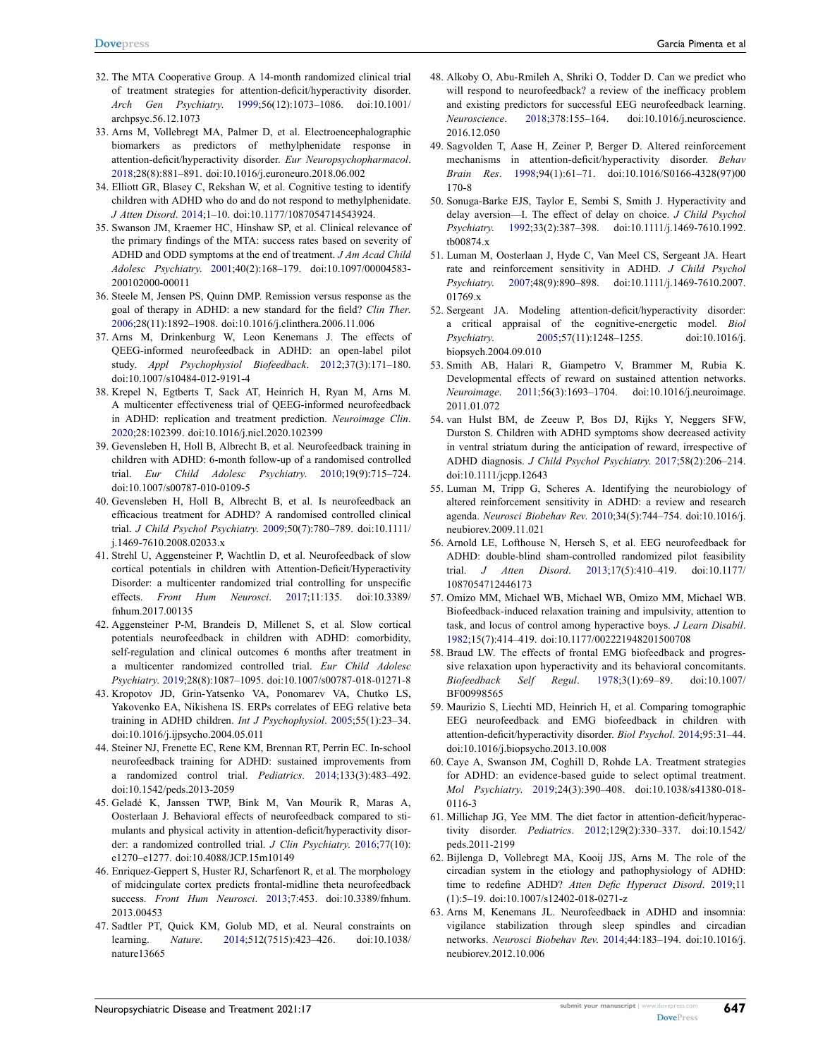- <span id="page-10-0"></span>32. The MTA Cooperative Group. A 14-month randomized clinical trial of treatment strategies for attention-deficit/hyperactivity disorder. *Arch Gen Psychiatry*. [1999](#page-2-1);56(12):1073–1086. doi:[10.1001/](https://doi.org/10.1001/archpsyc.56.12.1073)  [archpsyc.56.12.1073](https://doi.org/10.1001/archpsyc.56.12.1073)
- <span id="page-10-1"></span>33. Arns M, Vollebregt MA, Palmer D, et al. Electroencephalographic biomarkers as predictors of methylphenidate response in attention-deficit/hyperactivity disorder. *Eur Neuropsychopharmacol*. [2018;](#page-2-2)28(8):881–891. doi:[10.1016/j.euroneuro.2018.06.002](https://doi.org/10.1016/j.euroneuro.2018.06.002)
- <span id="page-10-2"></span>34. Elliott GR, Blasey C, Rekshan W, et al. Cognitive testing to identify children with ADHD who do and do not respond to methylphenidate. *J Atten Disord*. [2014](#page-2-3);1–10. doi:[10.1177/1087054714543924](https://doi.org/10.1177/1087054714543924).
- <span id="page-10-3"></span>35. Swanson JM, Kraemer HC, Hinshaw SP, et al. Clinical relevance of the primary findings of the MTA: success rates based on severity of ADHD and ODD symptoms at the end of treatment. *J Am Acad Child Adolesc Psychiatry*. [2001;](#page-2-2)40(2):168–179. doi:[10.1097/00004583-](https://doi.org/10.1097/00004583-200102000-00011)  [200102000-00011](https://doi.org/10.1097/00004583-200102000-00011)
- <span id="page-10-4"></span>36. Steele M, Jensen PS, Quinn DMP. Remission versus response as the goal of therapy in ADHD: a new standard for the field? *Clin Ther*. [2006;](#page-2-4)28(11):1892–1908. doi:[10.1016/j.clinthera.2006.11.006](https://doi.org/10.1016/j.clinthera.2006.11.006)
- <span id="page-10-5"></span>37. Arns M, Drinkenburg W, Leon Kenemans J. The effects of QEEG-informed neurofeedback in ADHD: an open-label pilot study. *Appl Psychophysiol Biofeedback*. [2012;](#page-2-5)37(3):171–180. doi:[10.1007/s10484-012-9191-4](https://doi.org/10.1007/s10484-012-9191-4)
- <span id="page-10-6"></span>38. Krepel N, Egtberts T, Sack AT, Heinrich H, Ryan M, Arns M. A multicenter effectiveness trial of QEEG-informed neurofeedback in ADHD: replication and treatment prediction. *Neuroimage Clin*. [2020;](#page-2-5)28:102399. doi:[10.1016/j.nicl.2020.102399](https://doi.org/10.1016/j.nicl.2020.102399)
- <span id="page-10-7"></span>39. Gevensleben H, Holl B, Albrecht B, et al. Neurofeedback training in children with ADHD: 6-month follow-up of a randomised controlled trial. *Eur Child Adolesc Psychiatry*. [2010;](#page-2-6)19(9):715–724. doi:[10.1007/s00787-010-0109-5](https://doi.org/10.1007/s00787-010-0109-5)
- <span id="page-10-8"></span>40. Gevensleben H, Holl B, Albrecht B, et al. Is neurofeedback an efficacious treatment for ADHD? A randomised controlled clinical trial. *J Child Psychol Psychiatry*. [2009;](#page-2-6)50(7):780–789. doi:[10.1111/](https://doi.org/10.1111/j.1469-7610.2008.02033.x)  [j.1469-7610.2008.02033.x](https://doi.org/10.1111/j.1469-7610.2008.02033.x)
- <span id="page-10-9"></span>41. Strehl U, Aggensteiner P, Wachtlin D, et al. Neurofeedback of slow cortical potentials in children with Attention-Deficit/Hyperactivity Disorder: a multicenter randomized trial controlling for unspecific effects. *Front Hum Neurosci*. [2017](#page-2-6);11:135. doi:[10.3389/](https://doi.org/10.3389/fnhum.2017.00135)  [fnhum.2017.00135](https://doi.org/10.3389/fnhum.2017.00135)
- <span id="page-10-10"></span>42. Aggensteiner P-M, Brandeis D, Millenet S, et al. Slow cortical potentials neurofeedback in children with ADHD: comorbidity, self-regulation and clinical outcomes 6 months after treatment in a multicenter randomized controlled trial. *Eur Child Adolesc Psychiatry*. [2019;](#page-2-7)28(8):1087–1095. doi:[10.1007/s00787-018-01271-8](https://doi.org/10.1007/s00787-018-01271-8)
- <span id="page-10-11"></span>43. Kropotov JD, Grin-Yatsenko VA, Ponomarev VA, Chutko LS, Yakovenko EA, Nikishena IS. ERPs correlates of EEG relative beta training in ADHD children. *Int J Psychophysiol*. [2005;](#page-2-8)55(1):23–34. doi:[10.1016/j.ijpsycho.2004.05.011](https://doi.org/10.1016/j.ijpsycho.2004.05.011)
- <span id="page-10-12"></span>44. Steiner NJ, Frenette EC, Rene KM, Brennan RT, Perrin EC. In-school neurofeedback training for ADHD: sustained improvements from a randomized control trial. *Pediatrics*. [2014;](#page-2-8)133(3):483–492. doi:[10.1542/peds.2013-2059](https://doi.org/10.1542/peds.2013-2059)
- <span id="page-10-13"></span>45. Geladé K, Janssen TWP, Bink M, Van Mourik R, Maras A, Oosterlaan J. Behavioral effects of neurofeedback compared to stimulants and physical activity in attention-deficit/hyperactivity disorder: a randomized controlled trial. *J Clin Psychiatry*. [2016;](#page-2-9)77(10): e1270–e1277. doi:[10.4088/JCP.15m10149](https://doi.org/10.4088/JCP.15m10149)
- <span id="page-10-14"></span>46. Enriquez-Geppert S, Huster RJ, Scharfenort R, et al. The morphology of midcingulate cortex predicts frontal-midline theta neurofeedback success. *Front Hum Neurosci*. [2013](#page-5-1);7:453. doi:[10.3389/fnhum.](https://doi.org/10.3389/fnhum.2013.00453)  [2013.00453](https://doi.org/10.3389/fnhum.2013.00453)
- 47. Sadtler PT, Quick KM, Golub MD, et al. Neural constraints on learning. *Nature*. 2014;512(7515):423–426. doi:[10.1038/](https://doi.org/10.1038/nature13665)  [nature13665](https://doi.org/10.1038/nature13665)
- 48. Alkoby O, Abu-Rmileh A, Shriki O, Todder D. Can we predict who will respond to neurofeedback? a review of the inefficacy problem and existing predictors for successful EEG neurofeedback learning. *Neuroscience*. 2018;378:155–164. doi:[10.1016/j.neuroscience.](https://doi.org/10.1016/j.neuroscience.2016.12.050) [2016.12.050](https://doi.org/10.1016/j.neuroscience.2016.12.050)
- <span id="page-10-15"></span>49. Sagvolden T, Aase H, Zeiner P, Berger D. Altered reinforcement mechanisms in attention-deficit/hyperactivity disorder. *Behav Brain Res*. [1998](#page-5-2);94(1):61–71. doi:[10.1016/S0166-4328\(97\)00](https://doi.org/10.1016/S0166-4328(97)00170-8) [170-8](https://doi.org/10.1016/S0166-4328(97)00170-8)
- <span id="page-10-16"></span>50. Sonuga-Barke EJS, Taylor E, Sembi S, Smith J. Hyperactivity and delay aversion—I. The effect of delay on choice. *J Child Psychol Psychiatry*. [1992;](#page-5-3)33(2):387–398. doi:[10.1111/j.1469-7610.1992.](https://doi.org/10.1111/j.1469-7610.1992.tb00874.x) [tb00874.x](https://doi.org/10.1111/j.1469-7610.1992.tb00874.x)
- <span id="page-10-17"></span>51. Luman M, Oosterlaan J, Hyde C, Van Meel CS, Sergeant JA. Heart rate and reinforcement sensitivity in ADHD. *J Child Psychol Psychiatry*. [2007;](#page-5-4)48(9):890–898. doi:[10.1111/j.1469-7610.2007.](https://doi.org/10.1111/j.1469-7610.2007.01769.x) [01769.x](https://doi.org/10.1111/j.1469-7610.2007.01769.x)
- <span id="page-10-18"></span>52. Sergeant JA. Modeling attention-deficit/hyperactivity disorder: a critical appraisal of the cognitive-energetic model. *Biol Psychiatry*. [2005](#page-5-0);57(11):1248–1255. doi:[10.1016/j.](https://doi.org/10.1016/j.biopsych.2004.09.010) [biopsych.2004.09.010](https://doi.org/10.1016/j.biopsych.2004.09.010)
- 53. Smith AB, Halari R, Giampetro V, Brammer M, Rubia K. Developmental effects of reward on sustained attention networks. *Neuroimage*. 2011;56(3):1693–1704. doi:[10.1016/j.neuroimage.](https://doi.org/10.1016/j.neuroimage.2011.01.072) [2011.01.072](https://doi.org/10.1016/j.neuroimage.2011.01.072)
- 54. van Hulst BM, de Zeeuw P, Bos DJ, Rijks Y, Neggers SFW, Durston S. Children with ADHD symptoms show decreased activity in ventral striatum during the anticipation of reward, irrespective of ADHD diagnosis. *J Child Psychol Psychiatry*. 2017;58(2):206–214. doi:[10.1111/jcpp.12643](https://doi.org/10.1111/jcpp.12643)
- 55. Luman M, Tripp G, Scheres A. Identifying the neurobiology of altered reinforcement sensitivity in ADHD: a review and research agenda. *Neurosci Biobehav Rev*. 2010;34(5):744–754. doi:[10.1016/j.](https://doi.org/10.1016/j.neubiorev.2009.11.021) [neubiorev.2009.11.021](https://doi.org/10.1016/j.neubiorev.2009.11.021)
- <span id="page-10-19"></span>56. Arnold LE, Lofthouse N, Hersch S, et al. EEG neurofeedback for ADHD: double-blind sham-controlled randomized pilot feasibility trial. *J Atten Disord*. [2013;](#page-6-0)17(5):410–419. doi:[10.1177/](https://doi.org/10.1177/1087054712446173) [1087054712446173](https://doi.org/10.1177/1087054712446173)
- <span id="page-10-20"></span>57. Omizo MM, Michael WB, Michael WB, Omizo MM, Michael WB. Biofeedback-induced relaxation training and impulsivity, attention to task, and locus of control among hyperactive boys. *J Learn Disabil*. [1982](#page-6-1);15(7):414–419. doi:[10.1177/002221948201500708](https://doi.org/10.1177/002221948201500708)
- 58. Braud LW. The effects of frontal EMG biofeedback and progressive relaxation upon hyperactivity and its behavioral concomitants. *Biofeedback Self Regul*. 1978;3(1):69–89. doi:[10.1007/](https://doi.org/10.1007/BF00998565) [BF00998565](https://doi.org/10.1007/BF00998565)
- <span id="page-10-21"></span>59. Maurizio S, Liechti MD, Heinrich H, et al. Comparing tomographic EEG neurofeedback and EMG biofeedback in children with attention-deficit/hyperactivity disorder. *Biol Psychol*. [2014;](#page-6-2)95:31–44. doi:[10.1016/j.biopsycho.2013.10.008](https://doi.org/10.1016/j.biopsycho.2013.10.008)
- <span id="page-10-22"></span>60. Caye A, Swanson JM, Coghill D, Rohde LA. Treatment strategies for ADHD: an evidence-based guide to select optimal treatment. *Mol Psychiatry*. [2019](#page-6-3);24(3):390–408. doi:[10.1038/s41380-018-](https://doi.org/10.1038/s41380-018-0116-3) [0116-3](https://doi.org/10.1038/s41380-018-0116-3)
- <span id="page-10-23"></span>61. Millichap JG, Yee MM. The diet factor in attention-deficit/hyperactivity disorder. *Pediatrics*. [2012;](#page-7-0)129(2):330–337. doi:[10.1542/](https://doi.org/10.1542/peds.2011-2199) [peds.2011-2199](https://doi.org/10.1542/peds.2011-2199)
- <span id="page-10-24"></span>62. Bijlenga D, Vollebregt MA, Kooij JJS, Arns M. The role of the circadian system in the etiology and pathophysiology of ADHD: time to redefine ADHD? *Atten Defic Hyperact Disord*. [2019](#page-7-1);11 (1):5–19. doi:[10.1007/s12402-018-0271-z](https://doi.org/10.1007/s12402-018-0271-z)
- <span id="page-10-25"></span>63. Arns M, Kenemans JL. Neurofeedback in ADHD and insomnia: vigilance stabilization through sleep spindles and circadian networks. *Neurosci Biobehav Rev*. [2014;](#page-7-2)44:183–194. doi:[10.1016/j.](https://doi.org/10.1016/j.neubiorev.2012.10.006) [neubiorev.2012.10.006](https://doi.org/10.1016/j.neubiorev.2012.10.006)